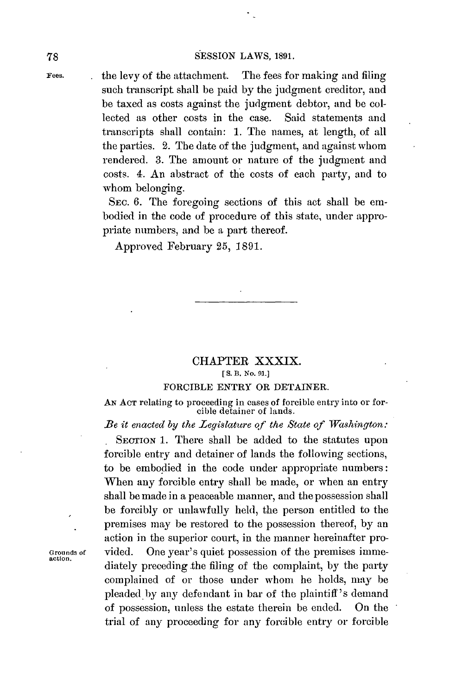### **78 SESSION** LAWS, **1891.**

**Fees.** the levy of the attachment. The fees for making and filing such transcript shall be paid **by** the judgment creditor, and be taxed as costs against the judgment debtor, and **be** collected as other costs in the case. Said statements and transcripts shall contain: **1.** The names, at length, of all the parties. 2. The date of the judgment, and against whom rendered. **3.** The amount or nature of the judgment and costs. 4. An abstract of the costs of each party, and to whom belonging.

> SEc. **6.** The foregoing sections of this act shall be embodied in the code of procedure of this state, under appropriate numbers, and be a part thereof.

Approved February **25, 1891.**

# CHAPTER XXXIX.

# **[ S.** B. *No.* **91.]**

## FORCIBLE ENTRY OR **DETAINER.**

**AN ACT** relating to proceeding in cases of forcible entry into or forcible detainer of lands.

*Be it enacted by the Legislature of the State of Washington:*

SECTION **1.** There shall be added to the statutes upon forcible entry and detainer of lands the following sections, to be embodied in the code under appropriate numbers: When any forcible entry shall be made, or when an entry shall **be** made in a peaceable manner, and the possession shall be forcibly or unlawfully held, the person entitled to the premises may be restored to the possession thereof, **by** an action in the superior court, in the manner hereinafter pro-Grounds of vided. One year's quiet possession of the premises immediately preceding the filing of the complaint, **by** the party complained of or those under whom he holds, may **be** pleaded by any defendant in bar of the plaintiff's demand of possession, unless the estate therein be ended. On the trial of any proceeding for any forcible entry or forcible

**action.**